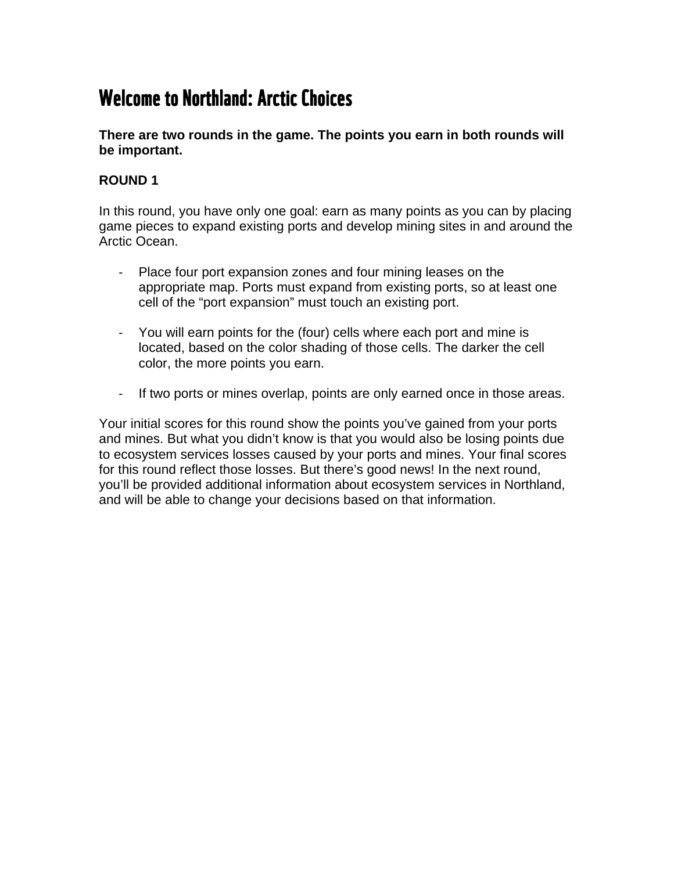## Welcome to Northland: Arctic Choices

**There are two rounds in the game. The points you earn in both rounds will be important.** 

## **ROUND 1**

In this round, you have only one goal: earn as many points as you can by placing game pieces to expand existing ports and develop mining sites in and around the Arctic Ocean.

- Place four port expansion zones and four mining leases on the appropriate map. Ports must expand from existing ports, so at least one cell of the "port expansion" must touch an existing port.
- You will earn points for the (four) cells where each port and mine is located, based on the color shading of those cells. The darker the cell color, the more points you earn.
- If two ports or mines overlap, points are only earned once in those areas.

Your initial scores for this round show the points you've gained from your ports and mines. But what you didn't know is that you would also be losing points due to ecosystem services losses caused by your ports and mines. Your final scores for this round reflect those losses. But there's good news! In the next round, you'll be provided additional information about ecosystem services in Northland, and will be able to change your decisions based on that information.